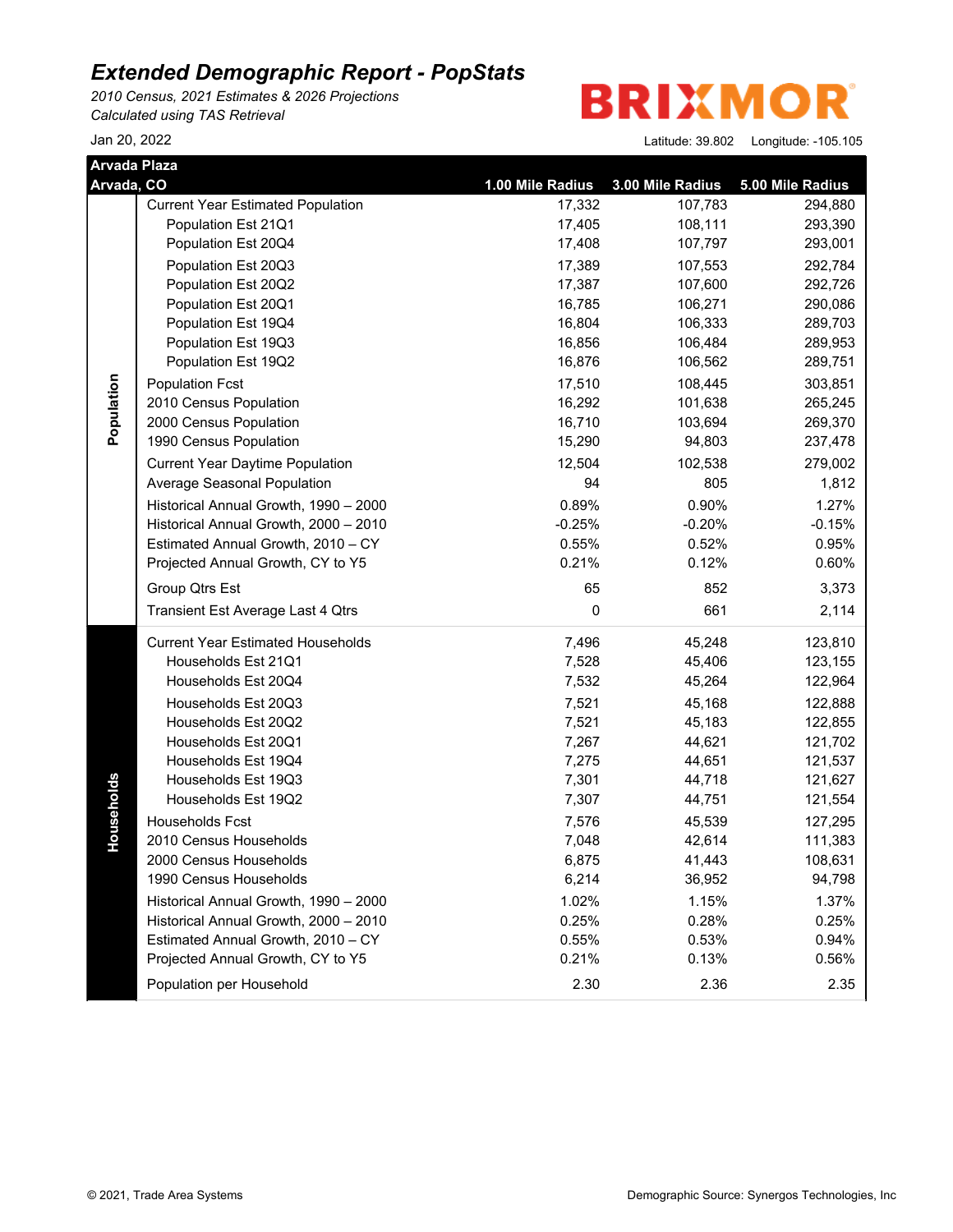*2010 Census, 2021 Estimates & 2026 Projections Calculated using TAS Retrieval*

**BRIXMOR** 

| Arvada Plaza |                                          |                  |                  |                  |
|--------------|------------------------------------------|------------------|------------------|------------------|
| Arvada, CO   |                                          | 1.00 Mile Radius | 3.00 Mile Radius | 5.00 Mile Radius |
|              | <b>Current Year Estimated Population</b> | 17,332           | 107,783          | 294,880          |
|              | Population Est 21Q1                      | 17,405           | 108,111          | 293,390          |
|              | Population Est 20Q4                      | 17,408           | 107,797          | 293,001          |
|              | Population Est 20Q3                      | 17,389           | 107,553          | 292,784          |
|              | Population Est 20Q2                      | 17,387           | 107,600          | 292,726          |
|              | Population Est 20Q1                      | 16,785           | 106,271          | 290,086          |
|              | Population Est 19Q4                      | 16,804           | 106,333          | 289,703          |
|              | Population Est 19Q3                      | 16,856           | 106,484          | 289,953          |
|              | Population Est 19Q2                      | 16,876           | 106,562          | 289,751          |
| Population   | <b>Population Fcst</b>                   | 17,510           | 108,445          | 303,851          |
|              | 2010 Census Population                   | 16,292           | 101,638          | 265,245          |
|              | 2000 Census Population                   | 16,710           | 103,694          | 269,370          |
|              | 1990 Census Population                   | 15,290           | 94,803           | 237,478          |
|              | <b>Current Year Daytime Population</b>   | 12,504           | 102,538          | 279,002          |
|              | Average Seasonal Population              | 94               | 805              | 1,812            |
|              | Historical Annual Growth, 1990 - 2000    | 0.89%            | 0.90%            | 1.27%            |
|              | Historical Annual Growth, 2000 - 2010    | $-0.25%$         | $-0.20%$         | $-0.15%$         |
|              | Estimated Annual Growth, 2010 - CY       | 0.55%            | 0.52%            | 0.95%            |
|              | Projected Annual Growth, CY to Y5        | 0.21%            | 0.12%            | 0.60%            |
|              | Group Qtrs Est                           | 65               | 852              | 3,373            |
|              | Transient Est Average Last 4 Qtrs        | 0                | 661              | 2,114            |
|              | <b>Current Year Estimated Households</b> | 7,496            | 45,248           | 123,810          |
|              | Households Est 21Q1                      | 7,528            | 45,406           | 123,155          |
|              | Households Est 20Q4                      | 7,532            | 45,264           | 122,964          |
|              | Households Est 20Q3                      | 7,521            | 45,168           | 122,888          |
|              | Households Est 20Q2                      | 7,521            | 45,183           | 122,855          |
|              | Households Est 20Q1                      | 7,267            | 44,621           | 121,702          |
|              | Households Est 19Q4                      | 7,275            | 44,651           | 121,537          |
|              | Households Est 19Q3                      | 7,301            | 44,718           | 121,627          |
| Households   | Households Est 19Q2                      | 7,307            | 44,751           | 121,554          |
|              | Households Fcst                          | 7,576            | 45,539           | 127,295          |
|              | 2010 Census Households                   | 7,048            | 42,614           | 111,383          |
|              | 2000 Census Households                   | 6,875            | 41,443           | 108,631          |
|              | 1990 Census Households                   | 6,214            | 36,952           | 94,798           |
|              | Historical Annual Growth, 1990 - 2000    | 1.02%            | 1.15%            | 1.37%            |
|              | Historical Annual Growth, 2000 - 2010    | 0.25%            | 0.28%            | 0.25%            |
|              | Estimated Annual Growth, 2010 - CY       | 0.55%            | 0.53%            | 0.94%            |
|              | Projected Annual Growth, CY to Y5        | 0.21%            | 0.13%            | 0.56%            |
|              | Population per Household                 | 2.30             | 2.36             | 2.35             |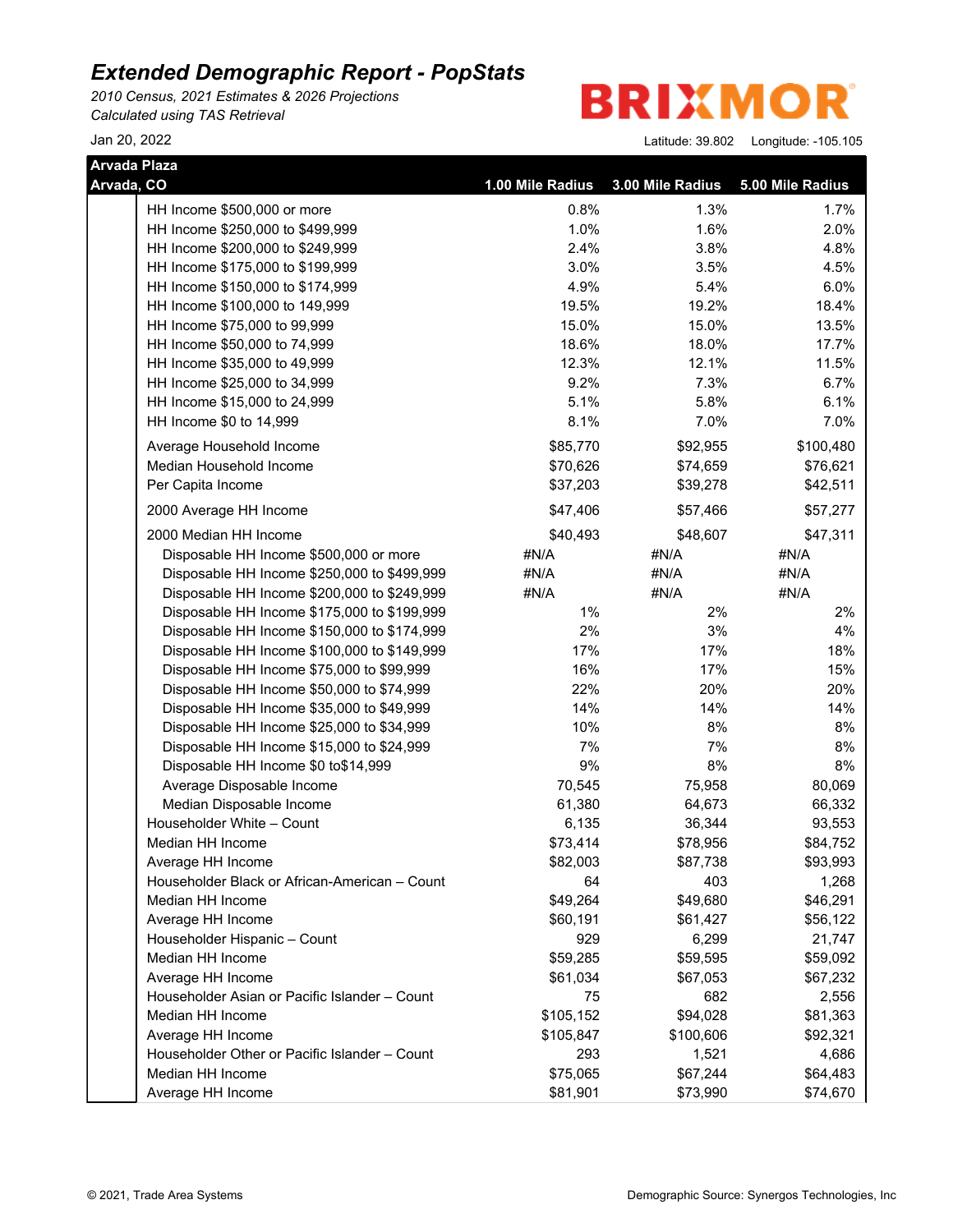*2010 Census, 2021 Estimates & 2026 Projections Calculated using TAS Retrieval*

**BRIXMO** R

| Arvada Plaza |                                               |                  |                  |                  |
|--------------|-----------------------------------------------|------------------|------------------|------------------|
| Arvada, CO   |                                               | 1.00 Mile Radius | 3.00 Mile Radius | 5.00 Mile Radius |
|              | HH Income \$500,000 or more                   | 0.8%             | 1.3%             | 1.7%             |
|              | HH Income \$250,000 to \$499,999              | 1.0%             | 1.6%             | 2.0%             |
|              | HH Income \$200,000 to \$249,999              | 2.4%             | 3.8%             | 4.8%             |
|              | HH Income \$175,000 to \$199,999              | 3.0%             | 3.5%             | 4.5%             |
|              | HH Income \$150,000 to \$174,999              | 4.9%             | 5.4%             | 6.0%             |
|              | HH Income \$100,000 to 149,999                | 19.5%            | 19.2%            | 18.4%            |
|              | HH Income \$75,000 to 99,999                  | 15.0%            | 15.0%            | 13.5%            |
|              | HH Income \$50,000 to 74,999                  | 18.6%            | 18.0%            | 17.7%            |
|              | HH Income \$35,000 to 49,999                  | 12.3%            | 12.1%            | 11.5%            |
|              | HH Income \$25,000 to 34,999                  | 9.2%             | 7.3%             | 6.7%             |
|              | HH Income \$15,000 to 24,999                  | 5.1%             | 5.8%             | 6.1%             |
|              | HH Income \$0 to 14,999                       | 8.1%             | 7.0%             | 7.0%             |
|              | Average Household Income                      | \$85,770         | \$92,955         | \$100,480        |
|              | Median Household Income                       | \$70,626         | \$74,659         | \$76,621         |
|              | Per Capita Income                             | \$37,203         | \$39,278         | \$42,511         |
|              | 2000 Average HH Income                        | \$47,406         | \$57,466         | \$57,277         |
|              | 2000 Median HH Income                         | \$40,493         | \$48,607         | \$47,311         |
|              | Disposable HH Income \$500,000 or more        | #N/A             | #N/A             | #N/A             |
|              | Disposable HH Income \$250,000 to \$499,999   | #N/A             | #N/A             | #N/A             |
|              | Disposable HH Income \$200,000 to \$249,999   | #N/A             | #N/A             | #N/A             |
|              | Disposable HH Income \$175,000 to \$199,999   | $1\%$            | 2%               | 2%               |
|              | Disposable HH Income \$150,000 to \$174,999   | 2%               | 3%               | 4%               |
|              | Disposable HH Income \$100,000 to \$149,999   | 17%              | 17%              | 18%              |
|              | Disposable HH Income \$75,000 to \$99,999     | 16%              | 17%              | 15%              |
|              | Disposable HH Income \$50,000 to \$74,999     | 22%              | 20%              | 20%              |
|              | Disposable HH Income \$35,000 to \$49,999     | 14%              | 14%              | 14%              |
|              | Disposable HH Income \$25,000 to \$34,999     | 10%              | 8%               | 8%               |
|              | Disposable HH Income \$15,000 to \$24,999     | 7%               | 7%               | 8%               |
|              | Disposable HH Income \$0 to\$14,999           | 9%               | 8%               | $8%$             |
|              | Average Disposable Income                     | 70,545           | 75,958           | 80,069           |
|              | Median Disposable Income                      | 61,380           | 64,673           | 66,332           |
|              | Householder White - Count                     | 6,135            | 36,344           | 93,553           |
|              | Median HH Income                              | \$73,414         | \$78,956         | \$84,752         |
|              | Average HH Income                             | \$82,003         | \$87,738         | \$93,993         |
|              | Householder Black or African-American - Count | 64               | 403              | 1,268            |
|              | Median HH Income                              | \$49,264         | \$49,680         | \$46,291         |
|              | Average HH Income                             | \$60,191         | \$61,427         | \$56,122         |
|              | Householder Hispanic - Count                  | 929              | 6,299            | 21,747           |
|              | Median HH Income                              | \$59,285         | \$59,595         | \$59,092         |
|              | Average HH Income                             | \$61,034         | \$67,053         | \$67,232         |
|              | Householder Asian or Pacific Islander - Count | 75               | 682              | 2,556            |
|              | Median HH Income                              | \$105,152        | \$94,028         | \$81,363         |
|              | Average HH Income                             | \$105,847        | \$100,606        | \$92,321         |
|              | Householder Other or Pacific Islander - Count | 293              | 1,521            | 4,686            |
|              | Median HH Income                              | \$75,065         | \$67,244         | \$64,483         |
|              | Average HH Income                             | \$81,901         | \$73,990         | \$74,670         |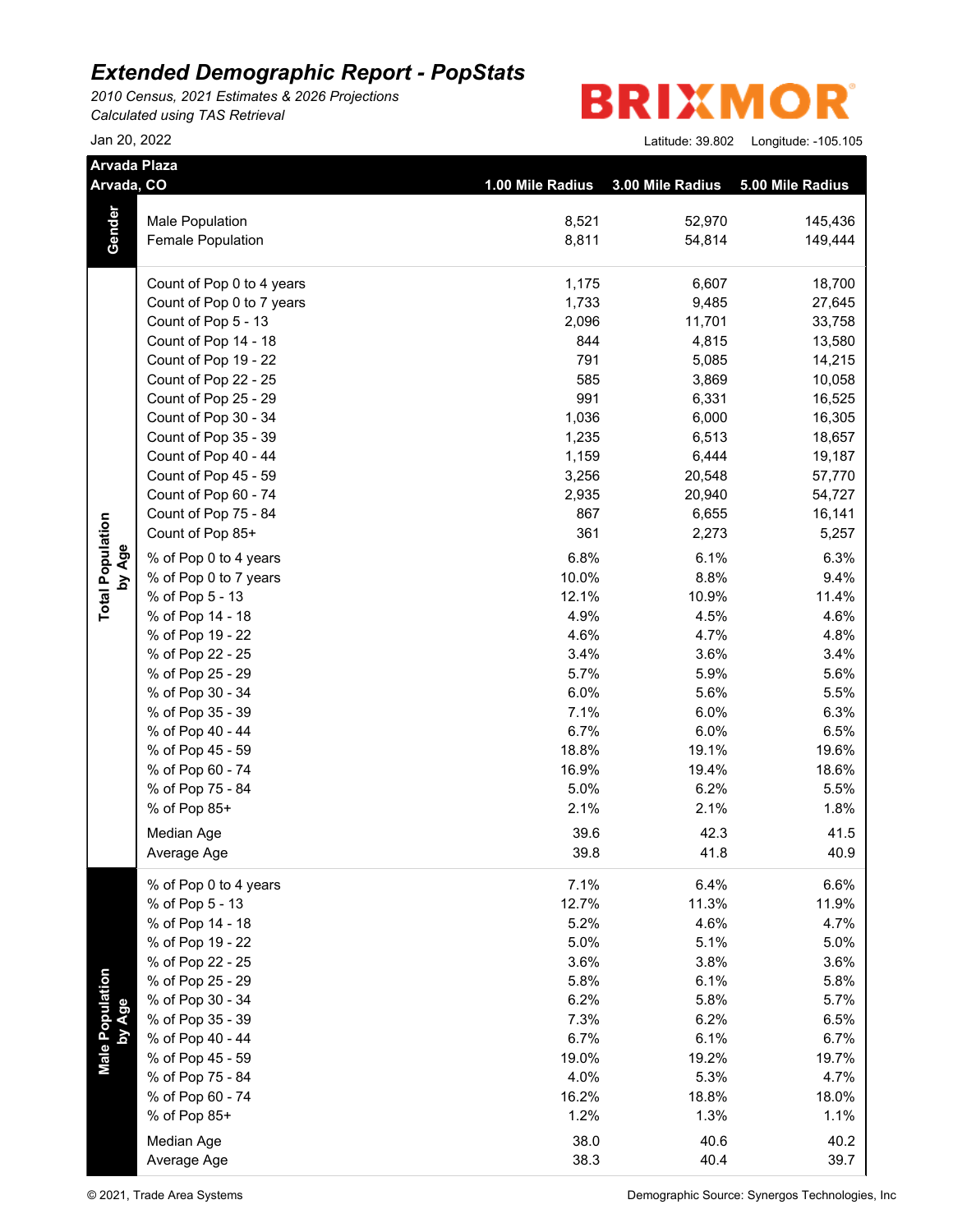*2010 Census, 2021 Estimates & 2026 Projections Calculated using TAS Retrieval*

**BRIXMO** R

| <b>Arvada Plaza</b><br>Arvada, CO |                                      | 1.00 Mile Radius | 3.00 Mile Radius | 5.00 Mile Radius |
|-----------------------------------|--------------------------------------|------------------|------------------|------------------|
|                                   | Male Population                      | 8,521            | 52,970           | 145,436          |
| Gender                            | Female Population                    | 8,811            | 54,814           | 149,444          |
|                                   | Count of Pop 0 to 4 years            | 1,175            | 6,607            | 18,700           |
|                                   | Count of Pop 0 to 7 years            | 1,733            | 9,485            | 27,645           |
|                                   | Count of Pop 5 - 13                  | 2,096            | 11,701           | 33,758           |
|                                   | Count of Pop 14 - 18                 | 844              | 4,815            | 13,580           |
|                                   | Count of Pop 19 - 22                 | 791              | 5,085            | 14,215           |
|                                   | Count of Pop 22 - 25                 | 585              | 3,869            | 10,058           |
|                                   | Count of Pop 25 - 29                 | 991              | 6,331            | 16,525           |
|                                   | Count of Pop 30 - 34                 | 1,036            | 6,000            | 16,305           |
|                                   | Count of Pop 35 - 39                 | 1,235            | 6,513            | 18,657           |
|                                   | Count of Pop 40 - 44                 | 1,159            | 6,444            | 19,187           |
|                                   | Count of Pop 45 - 59                 | 3,256            | 20,548           | 57,770           |
|                                   | Count of Pop 60 - 74                 | 2,935            | 20,940           | 54,727           |
|                                   | Count of Pop 75 - 84                 | 867              | 6,655            | 16,141           |
|                                   | Count of Pop 85+                     | 361              | 2,273            | 5,257            |
|                                   |                                      |                  |                  |                  |
| by Age                            | % of Pop 0 to 4 years                | 6.8%             | 6.1%<br>8.8%     | 6.3%             |
|                                   | % of Pop 0 to 7 years                | 10.0%            |                  | 9.4%             |
| <b>Total Population</b>           | % of Pop 5 - 13                      | 12.1%            | 10.9%            | 11.4%            |
|                                   | % of Pop 14 - 18                     | 4.9%             | 4.5%             | 4.6%             |
|                                   | % of Pop 19 - 22                     | 4.6%             | 4.7%             | 4.8%             |
|                                   | % of Pop 22 - 25<br>% of Pop 25 - 29 | 3.4%             | 3.6%             | 3.4%             |
|                                   |                                      | 5.7%<br>6.0%     | 5.9%             | 5.6%             |
|                                   | % of Pop 30 - 34                     |                  | 5.6%             | 5.5%             |
|                                   | % of Pop 35 - 39                     | 7.1%<br>6.7%     | 6.0%<br>6.0%     | 6.3%             |
|                                   | % of Pop 40 - 44<br>% of Pop 45 - 59 | 18.8%            | 19.1%            | 6.5%             |
|                                   | % of Pop 60 - 74                     |                  |                  | 19.6%            |
|                                   | % of Pop 75 - 84                     | 16.9%<br>5.0%    | 19.4%            | 18.6%            |
|                                   | % of Pop 85+                         | 2.1%             | 6.2%<br>2.1%     | 5.5%             |
|                                   |                                      |                  |                  | 1.8%             |
|                                   | Median Age                           | 39.6             | 42.3             | 41.5             |
|                                   | Average Age                          | 39.8             | 41.8             | 40.9             |
|                                   | % of Pop 0 to 4 years                | 7.1%             | 6.4%             | 6.6%             |
|                                   | % of Pop 5 - 13                      | 12.7%            | 11.3%            | 11.9%            |
|                                   | % of Pop 14 - 18                     | 5.2%             | 4.6%             | 4.7%             |
|                                   | % of Pop 19 - 22                     | 5.0%             | 5.1%             | 5.0%             |
|                                   | % of Pop 22 - 25                     | 3.6%             | 3.8%             | 3.6%             |
|                                   | % of Pop 25 - 29                     | 5.8%             | 6.1%             | 5.8%             |
| Male Population                   | % of Pop 30 - 34                     | 6.2%             | 5.8%             | 5.7%             |
| by Age                            | % of Pop 35 - 39                     | 7.3%             | 6.2%             | 6.5%             |
|                                   | % of Pop 40 - 44                     | 6.7%             | 6.1%             | 6.7%             |
|                                   | % of Pop 45 - 59                     | 19.0%            | 19.2%            | 19.7%            |
|                                   | % of Pop 75 - 84                     | 4.0%             | 5.3%             | 4.7%             |
|                                   | % of Pop 60 - 74                     | 16.2%            | 18.8%            | 18.0%            |
|                                   | % of Pop 85+                         | 1.2%             | 1.3%             | 1.1%             |
|                                   | Median Age                           | 38.0             | 40.6             | 40.2             |
|                                   | Average Age                          | 38.3             | 40.4             | 39.7             |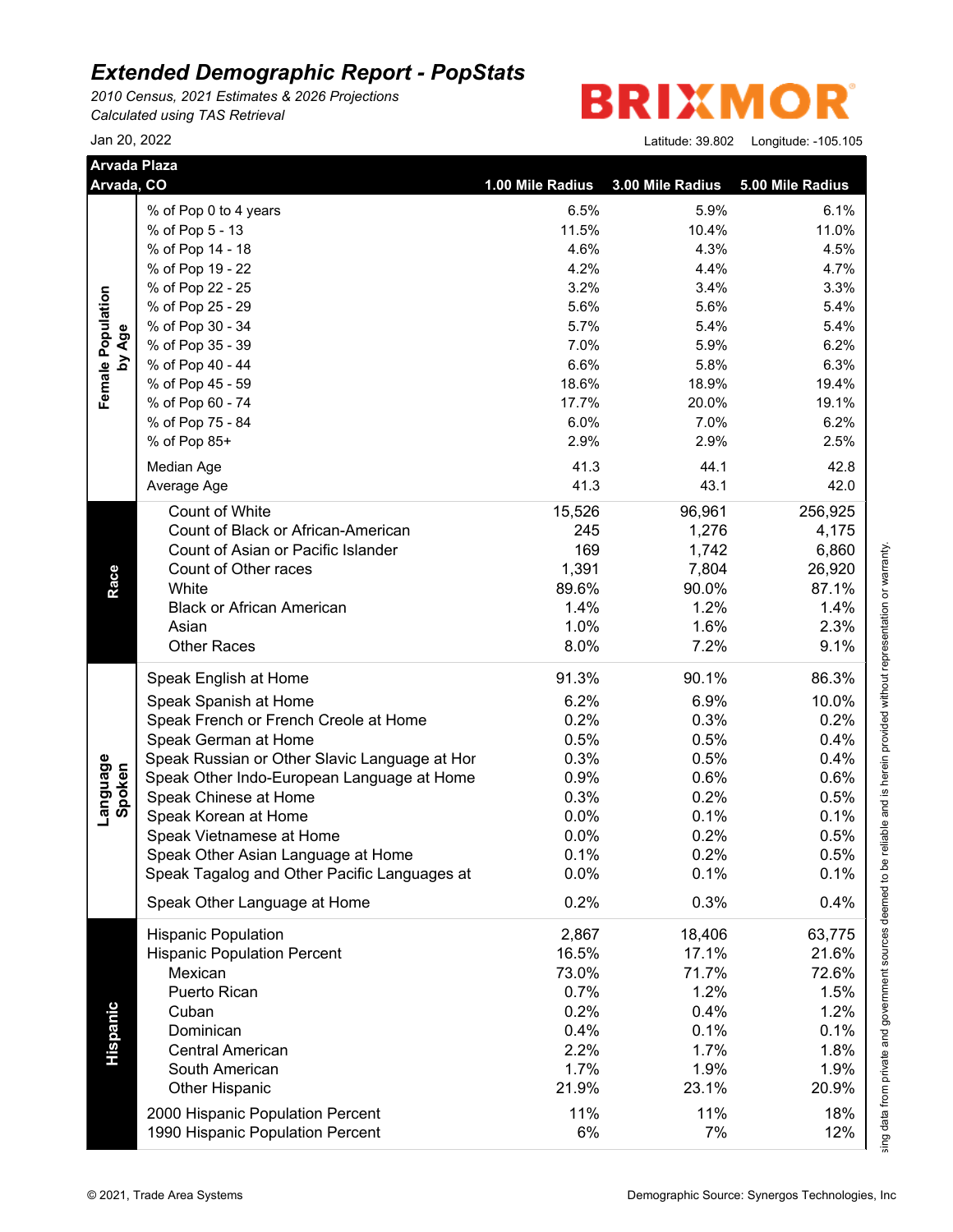*2010 Census, 2021 Estimates & 2026 Projections Calculated using TAS Retrieval*

**BRIXMO** R

| <b>Arvada Plaza</b> | Arvada, CO                                    | 1.00 Mile Radius | 3.00 Mile Radius | 5.00 Mile Radius |
|---------------------|-----------------------------------------------|------------------|------------------|------------------|
|                     | % of Pop 0 to 4 years                         | 6.5%             | 5.9%             | 6.1%             |
|                     | % of Pop 5 - 13                               | 11.5%            | 10.4%            | 11.0%            |
|                     | % of Pop 14 - 18                              | 4.6%             | 4.3%             | 4.5%             |
|                     | % of Pop 19 - 22                              | 4.2%             | 4.4%             | 4.7%             |
|                     | % of Pop 22 - 25                              | 3.2%             | 3.4%             | 3.3%             |
| Female Population   | % of Pop 25 - 29                              | 5.6%             | 5.6%             | 5.4%             |
|                     | % of Pop 30 - 34                              | 5.7%             | 5.4%             | 5.4%             |
| by Age              | % of Pop 35 - 39                              | 7.0%             | 5.9%             | 6.2%             |
|                     | % of Pop 40 - 44                              | 6.6%             | 5.8%             | 6.3%             |
|                     | % of Pop 45 - 59                              | 18.6%            | 18.9%            | 19.4%            |
|                     | % of Pop 60 - 74                              | 17.7%            | 20.0%            | 19.1%            |
|                     | % of Pop 75 - 84                              | 6.0%             | 7.0%             | 6.2%             |
|                     | % of Pop 85+                                  | 2.9%             | 2.9%             | 2.5%             |
|                     |                                               | 41.3             | 44.1             | 42.8             |
|                     | Median Age                                    |                  |                  |                  |
|                     | Average Age                                   | 41.3             | 43.1             | 42.0             |
|                     | Count of White                                | 15,526           | 96,961           | 256,925          |
|                     | Count of Black or African-American            | 245              | 1,276            | 4,175            |
|                     | Count of Asian or Pacific Islander            | 169              | 1,742            | 6,860            |
|                     | Count of Other races                          | 1,391            | 7,804            | 26,920           |
|                     | White                                         | 89.6%            | 90.0%            | 87.1%            |
|                     | <b>Black or African American</b>              | 1.4%             | 1.2%             | 1.4%             |
|                     | Asian                                         | 1.0%             | 1.6%             | 2.3%             |
|                     | <b>Other Races</b>                            | 8.0%             | 7.2%             | 9.1%             |
|                     | Speak English at Home                         | 91.3%            | 90.1%            | 86.3%            |
|                     | Speak Spanish at Home                         | 6.2%             | 6.9%             | 10.0%            |
|                     | Speak French or French Creole at Home         | 0.2%             | 0.3%             | 0.2%             |
|                     | Speak German at Home                          | 0.5%             | 0.5%             | 0.4%             |
|                     | Speak Russian or Other Slavic Language at Hor | 0.3%             | 0.5%             | 0.4%             |
| Language<br>Spoken  | Speak Other Indo-European Language at Home    | 0.9%             | 0.6%             | 0.6%             |
|                     | Speak Chinese at Home                         | 0.3%             | 0.2%             | 0.5%             |
|                     | Speak Korean at Home                          | 0.0%             | 0.1%             | 0.1%             |
|                     | Speak Vietnamese at Home                      | 0.0%             | 0.2%             | 0.5%             |
|                     | Speak Other Asian Language at Home            | 0.1%             | 0.2%             | 0.5%             |
|                     | Speak Tagalog and Other Pacific Languages at  | 0.0%             | 0.1%             | 0.1%             |
|                     | Speak Other Language at Home                  | 0.2%             | 0.3%             | 0.4%             |
|                     | <b>Hispanic Population</b>                    | 2,867            | 18,406           | 63,775           |
|                     | <b>Hispanic Population Percent</b>            | 16.5%            | 17.1%            | 21.6%            |
|                     | Mexican                                       | 73.0%            | 71.7%            | 72.6%            |
|                     | Puerto Rican                                  | 0.7%             | 1.2%             | 1.5%             |
|                     | Cuban                                         | 0.2%             | 0.4%             | 1.2%             |
|                     | Dominican                                     | 0.4%             |                  |                  |
|                     | <b>Central American</b>                       |                  | 0.1%             | 0.1%             |
|                     |                                               | 2.2%             | 1.7%             | 1.8%             |
|                     | South American                                | 1.7%             | 1.9%             | 1.9%             |
|                     | <b>Other Hispanic</b>                         | 21.9%            | 23.1%            | 20.9%            |
|                     | 2000 Hispanic Population Percent              | 11%              | 11%              | 18%              |
|                     |                                               | 6%               | 7%               | 12%              |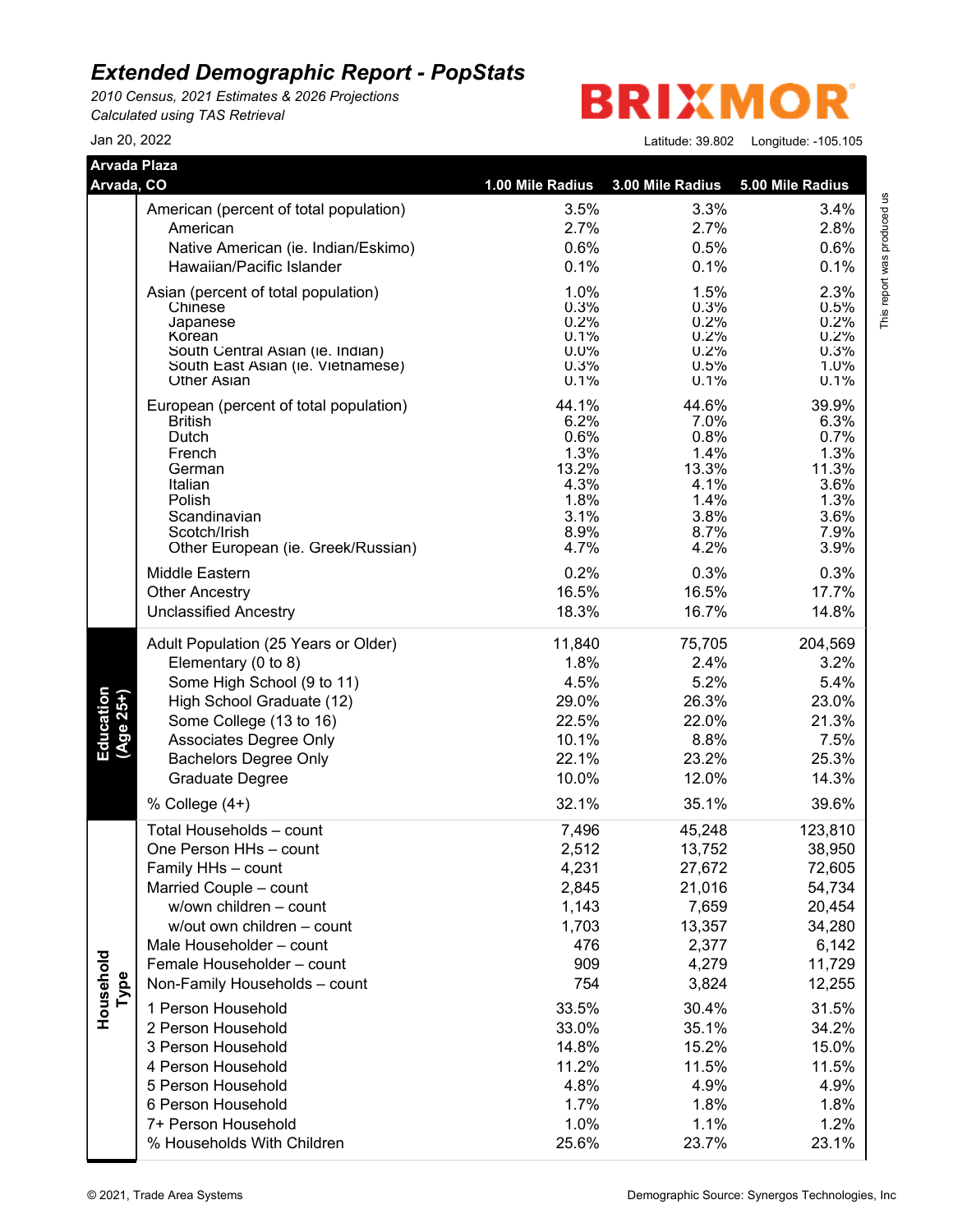*2010 Census, 2021 Estimates & 2026 Projections Calculated using TAS Retrieval*

**BRIXMOR®** 

| Jan 20. 2022 |  | Latitude: 39.802    Longitude: -105.105 |
|--------------|--|-----------------------------------------|
|--------------|--|-----------------------------------------|

| Arvada Plaza<br>Arvada, CO |                                                         | 1.00 Mile Radius | 3.00 Mile Radius | 5.00 Mile Radius |
|----------------------------|---------------------------------------------------------|------------------|------------------|------------------|
|                            |                                                         |                  |                  |                  |
|                            | American (percent of total population)                  | 3.5%             | 3.3%             | 3.4%             |
|                            | American                                                | 2.7%             | 2.7%             | 2.8%             |
|                            | Native American (ie. Indian/Eskimo)                     | 0.6%             | 0.5%             | 0.6%             |
|                            | Hawaiian/Pacific Islander                               | 0.1%             | 0.1%             | 0.1%             |
|                            | Asian (percent of total population)                     | 1.0%             | 1.5%             | 2.3%             |
|                            | Chinese                                                 | 0.3%             | 0.3%             | 0.5%             |
|                            | Japanese<br>Korean                                      | 0.2%<br>0.1%     | 0.2%<br>0.2%     | 0.2%<br>0.2%     |
|                            | South Central Asian (ie. Indian)                        | 0.0%             | 0.2%             | 0.3%             |
|                            | South East Asian (ie. Vietnamese)<br><b>Other Asian</b> | 0.3%             | 0.5%             | $1.0\%$          |
|                            |                                                         | 0.1%             | 0.1%             | 0.1%             |
|                            | European (percent of total population)                  | 44.1%            | 44.6%            | 39.9%            |
|                            | <b>British</b><br>Dutch                                 | 6.2%<br>0.6%     | 7.0%<br>0.8%     | 6.3%<br>0.7%     |
|                            | French                                                  | 1.3%             | 1.4%             | 1.3%             |
|                            | German                                                  | 13.2%            | 13.3%            | 11.3%            |
|                            | Italian                                                 | 4.3%             | 4.1%             | 3.6%             |
|                            | Polish                                                  | 1.8%             | 1.4%             | 1.3%             |
|                            | Scandinavian<br>Scotch/Irish                            | 3.1%<br>8.9%     | 3.8%<br>8.7%     | 3.6%<br>7.9%     |
|                            | Other European (ie. Greek/Russian)                      | 4.7%             | 4.2%             | 3.9%             |
|                            | Middle Eastern                                          | 0.2%             | 0.3%             | 0.3%             |
|                            | <b>Other Ancestry</b>                                   | 16.5%            | 16.5%            | 17.7%            |
|                            | <b>Unclassified Ancestry</b>                            | 18.3%            | 16.7%            | 14.8%            |
|                            |                                                         |                  |                  |                  |
|                            | Adult Population (25 Years or Older)                    | 11,840           | 75,705           | 204,569          |
|                            | Elementary (0 to 8)                                     | 1.8%<br>4.5%     | 2.4%<br>5.2%     | 3.2%<br>5.4%     |
|                            | Some High School (9 to 11)                              | 29.0%            | 26.3%            |                  |
|                            | High School Graduate (12)                               | 22.5%            | 22.0%            | 23.0%<br>21.3%   |
| Education<br>(Age 25+)     | Some College (13 to 16)<br>Associates Degree Only       | 10.1%            | 8.8%             | 7.5%             |
|                            | <b>Bachelors Degree Only</b>                            | 22.1%            | 23.2%            | 25.3%            |
|                            | Graduate Degree                                         | 10.0%            | 12.0%            | 14.3%            |
|                            | % College (4+)                                          | 32.1%            | 35.1%            | 39.6%            |
|                            | Total Households - count                                | 7,496            | 45,248           | 123,810          |
|                            | One Person HHs - count                                  | 2,512            | 13,752           | 38,950           |
|                            | Family HHs - count                                      | 4,231            | 27,672           | 72,605           |
|                            | Married Couple - count                                  | 2,845            | 21,016           | 54,734           |
|                            | w/own children - count                                  | 1,143            | 7,659            | 20,454           |
|                            | w/out own children - count                              | 1,703            | 13,357           | 34,280           |
|                            | Male Householder - count                                | 476              | 2,377            | 6,142            |
|                            | Female Householder - count                              | 909              | 4,279            | 11,729           |
|                            | Non-Family Households - count                           | 754              | 3,824            | 12,255           |
| Type                       |                                                         |                  |                  |                  |
| Household                  | 1 Person Household                                      | 33.5%            | 30.4%            | 31.5%            |
|                            | 2 Person Household                                      | 33.0%            | 35.1%            | 34.2%            |
|                            | 3 Person Household                                      | 14.8%            | 15.2%            | 15.0%            |
|                            | 4 Person Household                                      | 11.2%            | 11.5%            | 11.5%            |
|                            | 5 Person Household                                      | 4.8%             | 4.9%             | 4.9%             |
|                            | 6 Person Household                                      | 1.7%             | 1.8%             | 1.8%             |
|                            | 7+ Person Household                                     | 1.0%             | 1.1%             | 1.2%             |
|                            | % Households With Children                              | 25.6%            | 23.7%            | 23.1%            |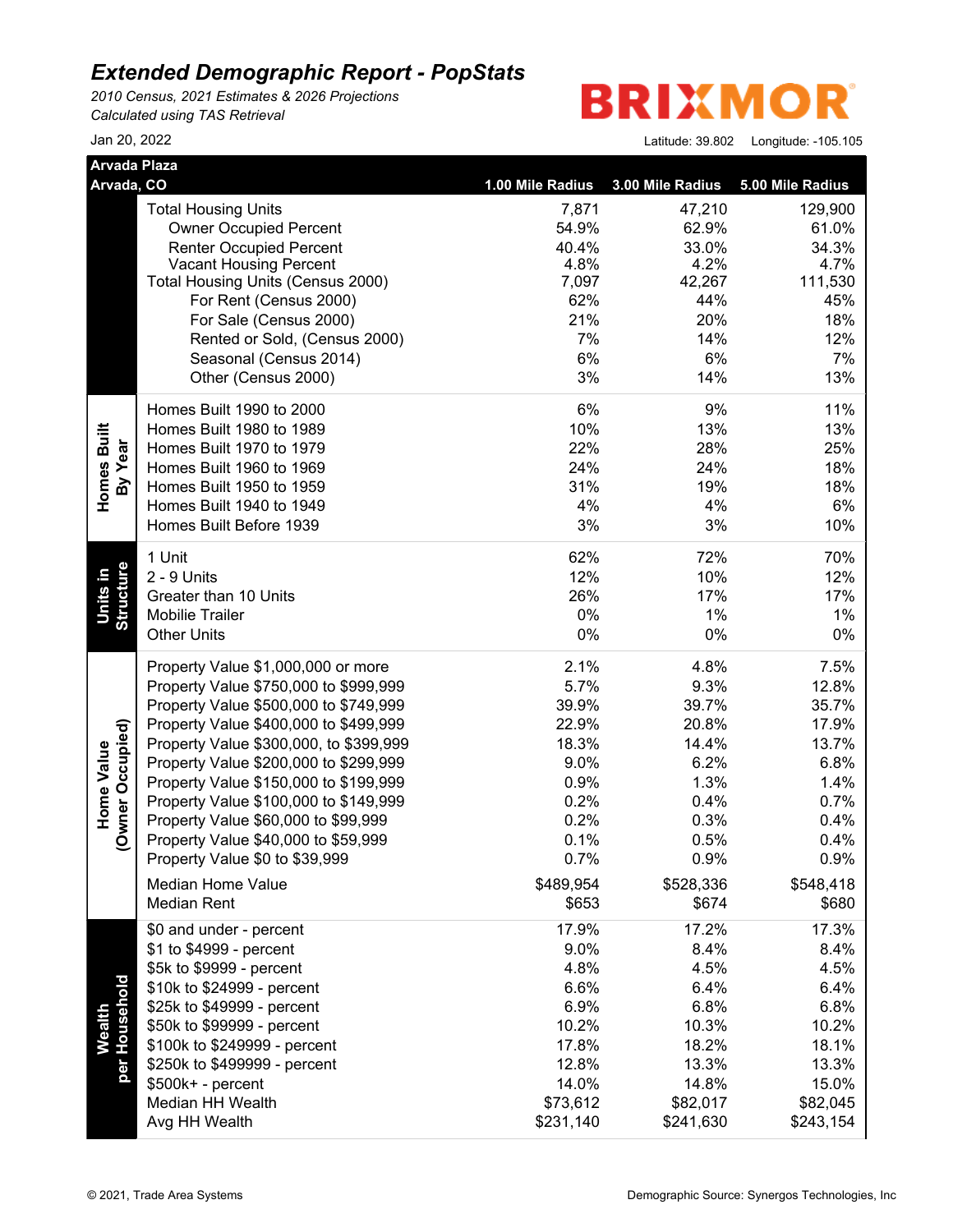*2010 Census, 2021 Estimates & 2026 Projections Calculated using TAS Retrieval*

**BRIXMOR** 

| <b>Arvada Plaza</b>                   |                                        |                  |                  |                  |
|---------------------------------------|----------------------------------------|------------------|------------------|------------------|
| Arvada, CO                            |                                        | 1.00 Mile Radius | 3.00 Mile Radius | 5.00 Mile Radius |
|                                       | <b>Total Housing Units</b>             | 7,871            | 47,210           | 129,900          |
|                                       | <b>Owner Occupied Percent</b>          | 54.9%            | 62.9%            | 61.0%            |
|                                       | <b>Renter Occupied Percent</b>         | 40.4%            | 33.0%            | 34.3%            |
|                                       | <b>Vacant Housing Percent</b>          | 4.8%             | 4.2%             | 4.7%             |
|                                       | Total Housing Units (Census 2000)      | 7,097            | 42,267           | 111,530          |
|                                       | For Rent (Census 2000)                 | 62%              | 44%              | 45%              |
|                                       | For Sale (Census 2000)                 | 21%              | 20%              | 18%              |
|                                       | Rented or Sold, (Census 2000)          | 7%               | 14%              | 12%              |
|                                       | Seasonal (Census 2014)                 | 6%               | 6%               | 7%               |
|                                       | Other (Census 2000)                    | 3%               | 14%              | 13%              |
|                                       | Homes Built 1990 to 2000               | 6%               | 9%               | 11%              |
|                                       | Homes Built 1980 to 1989               | 10%              | 13%              | 13%              |
|                                       | Homes Built 1970 to 1979               | 22%              | 28%              | 25%              |
| Homes Built<br>By Year                | Homes Built 1960 to 1969               | 24%              | 24%              | 18%              |
|                                       | Homes Built 1950 to 1959               | 31%              | 19%              | 18%              |
|                                       | Homes Built 1940 to 1949               | 4%               | 4%               | 6%               |
|                                       | Homes Built Before 1939                | 3%               | 3%               | 10%              |
|                                       | 1 Unit                                 | 62%              | 72%              | 70%              |
| Structure<br><u>Units</u> in          | 2 - 9 Units                            | 12%              | 10%              | 12%              |
|                                       | Greater than 10 Units                  | 26%              | 17%              | 17%              |
|                                       | <b>Mobilie Trailer</b>                 | 0%               | 1%               | $1\%$            |
|                                       | <b>Other Units</b>                     | $0\%$            | 0%               | $0\%$            |
|                                       | Property Value \$1,000,000 or more     | 2.1%             | 4.8%             | 7.5%             |
|                                       | Property Value \$750,000 to \$999,999  | 5.7%             | 9.3%             | 12.8%            |
|                                       | Property Value \$500,000 to \$749,999  | 39.9%            | 39.7%            | 35.7%            |
|                                       | Property Value \$400,000 to \$499,999  | 22.9%            | 20.8%            | 17.9%            |
|                                       | Property Value \$300,000, to \$399,999 | 18.3%            | 14.4%            | 13.7%            |
|                                       | Property Value \$200,000 to \$299,999  | 9.0%             | 6.2%             | 6.8%             |
| (Owner Occupied)<br><b>Home Value</b> | Property Value \$150,000 to \$199,999  | 0.9%             | 1.3%             | 1.4%             |
|                                       | Property Value \$100,000 to \$149,999  | 0.2%             | 0.4%             | 0.7%             |
|                                       | Property Value \$60,000 to \$99,999    | 0.2%             | 0.3%             | 0.4%             |
|                                       | Property Value \$40,000 to \$59,999    | 0.1%             | 0.5%             | 0.4%             |
|                                       | Property Value \$0 to \$39,999         | 0.7%             | 0.9%             | 0.9%             |
|                                       | Median Home Value                      | \$489,954        | \$528,336        | \$548,418        |
|                                       | <b>Median Rent</b>                     | \$653            | \$674            | \$680            |
|                                       | \$0 and under - percent                | 17.9%            | 17.2%            | 17.3%            |
|                                       | \$1 to \$4999 - percent                | 9.0%             | 8.4%             | 8.4%             |
|                                       | \$5k to \$9999 - percent               | 4.8%             | 4.5%             | 4.5%             |
|                                       | \$10k to \$24999 - percent             | 6.6%             | 6.4%             | 6.4%             |
| per Household                         | \$25k to \$49999 - percent             | 6.9%             | 6.8%             | 6.8%             |
| Wealth                                | \$50k to \$99999 - percent             | 10.2%            | 10.3%            | 10.2%            |
|                                       | \$100k to \$249999 - percent           | 17.8%            | 18.2%            | 18.1%            |
|                                       | \$250k to \$499999 - percent           | 12.8%            | 13.3%            | 13.3%            |
|                                       | \$500k+ - percent                      | 14.0%            | 14.8%            | 15.0%            |
|                                       | Median HH Wealth                       | \$73,612         | \$82,017         | \$82,045         |
|                                       | Avg HH Wealth                          | \$231,140        | \$241,630        | \$243,154        |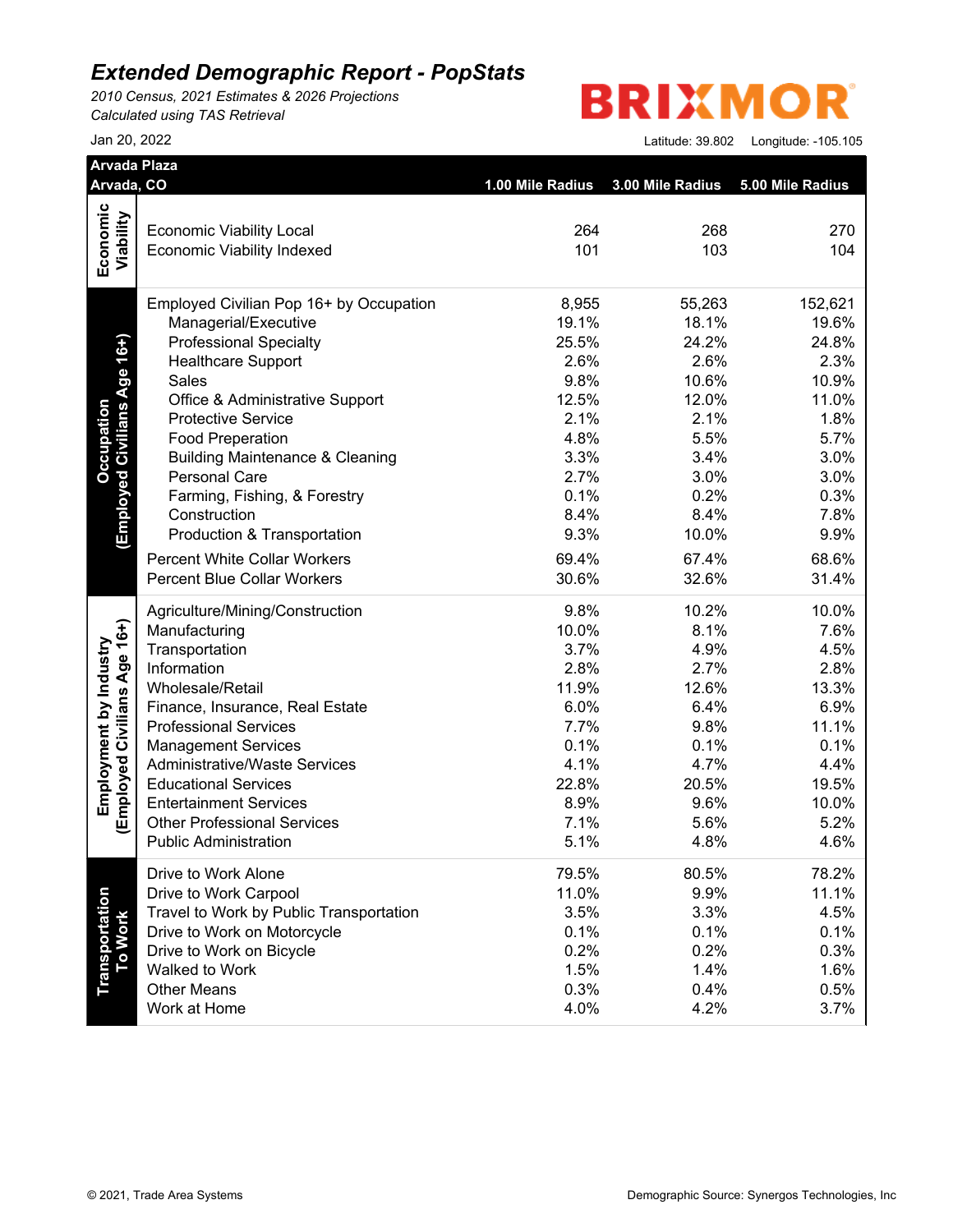*2010 Census, 2021 Estimates & 2026 Projections Calculated using TAS Retrieval*

**BRIXMOR** 

| Arvada, CO                       |                                                                    |                                   |              |                  |
|----------------------------------|--------------------------------------------------------------------|-----------------------------------|--------------|------------------|
|                                  |                                                                    | 1.00 Mile Radius 3.00 Mile Radius |              | 5.00 Mile Radius |
| Economic                         |                                                                    |                                   |              |                  |
|                                  | <b>Economic Viability Local</b>                                    | 264                               | 268          | 270              |
| Viability                        | <b>Economic Viability Indexed</b>                                  | 101                               | 103          | 104              |
|                                  | Employed Civilian Pop 16+ by Occupation                            | 8,955                             | 55,263       | 152,621          |
|                                  | Managerial/Executive                                               | 19.1%                             | 18.1%        | 19.6%            |
|                                  | <b>Professional Specialty</b>                                      | 25.5%                             | 24.2%        | 24.8%            |
| (Employed Civilians Age 16+)     | <b>Healthcare Support</b>                                          | 2.6%                              | 2.6%         | 2.3%             |
|                                  | Sales                                                              | 9.8%                              | 10.6%        | 10.9%            |
|                                  | Office & Administrative Support                                    | 12.5%                             | 12.0%        | 11.0%            |
|                                  | <b>Protective Service</b>                                          | 2.1%                              | 2.1%         | 1.8%             |
|                                  | <b>Food Preperation</b>                                            | 4.8%                              | 5.5%         | 5.7%             |
|                                  | <b>Building Maintenance &amp; Cleaning</b>                         | 3.3%                              | 3.4%         | 3.0%             |
|                                  | <b>Personal Care</b>                                               | 2.7%                              | 3.0%         | 3.0%             |
|                                  | Farming, Fishing, & Forestry                                       | 0.1%                              | 0.2%         | 0.3%             |
|                                  | Construction                                                       | 8.4%                              | 8.4%         | 7.8%             |
|                                  | Production & Transportation                                        | 9.3%                              | 10.0%        | 9.9%             |
|                                  | <b>Percent White Collar Workers</b>                                | 69.4%                             | 67.4%        | 68.6%            |
|                                  | <b>Percent Blue Collar Workers</b>                                 | 30.6%                             | 32.6%        | 31.4%            |
|                                  | Agriculture/Mining/Construction                                    | 9.8%                              | 10.2%        | 10.0%            |
|                                  | Manufacturing                                                      | 10.0%                             | 8.1%         | 7.6%             |
|                                  | Transportation                                                     | 3.7%                              | 4.9%         | 4.5%             |
|                                  | Information                                                        | 2.8%                              | 2.7%         | 2.8%             |
|                                  | Wholesale/Retail                                                   | 11.9%                             | 12.6%        | 13.3%            |
|                                  | Finance, Insurance, Real Estate                                    | 6.0%                              | 6.4%         | 6.9%             |
|                                  | <b>Professional Services</b>                                       | 7.7%                              | 9.8%         | 11.1%            |
|                                  | <b>Management Services</b>                                         | 0.1%                              | 0.1%         | 0.1%             |
|                                  | <b>Administrative/Waste Services</b>                               | 4.1%                              | 4.7%         | 4.4%             |
| Employed Civilians Age 16+)      | <b>Educational Services</b>                                        | 22.8%                             | 20.5%        | 19.5%            |
|                                  | <b>Entertainment Services</b>                                      | 8.9%                              | 9.6%         | 10.0%            |
|                                  | <b>Other Professional Services</b><br><b>Public Administration</b> | 7.1%<br>5.1%                      | 5.6%<br>4.8% | 5.2%<br>4.6%     |
|                                  | Drive to Work Alone                                                | 79.5%                             | 80.5%        | 78.2%            |
|                                  | Drive to Work Carpool                                              | 11.0%                             | 9.9%         | 11.1%            |
|                                  | Travel to Work by Public Transportation                            | 3.5%                              | 3.3%         | 4.5%             |
|                                  | Drive to Work on Motorcycle                                        | 0.1%                              | 0.1%         | 0.1%             |
|                                  | Drive to Work on Bicycle                                           | 0.2%                              | 0.2%         | 0.3%             |
|                                  | Walked to Work                                                     | 1.5%                              | 1.4%         | 1.6%             |
| <b>Transportation</b><br>To Work | <b>Other Means</b>                                                 | 0.3%                              | 0.4%         | 0.5%             |
|                                  | Work at Home                                                       | 4.0%                              | 4.2%         | 3.7%             |